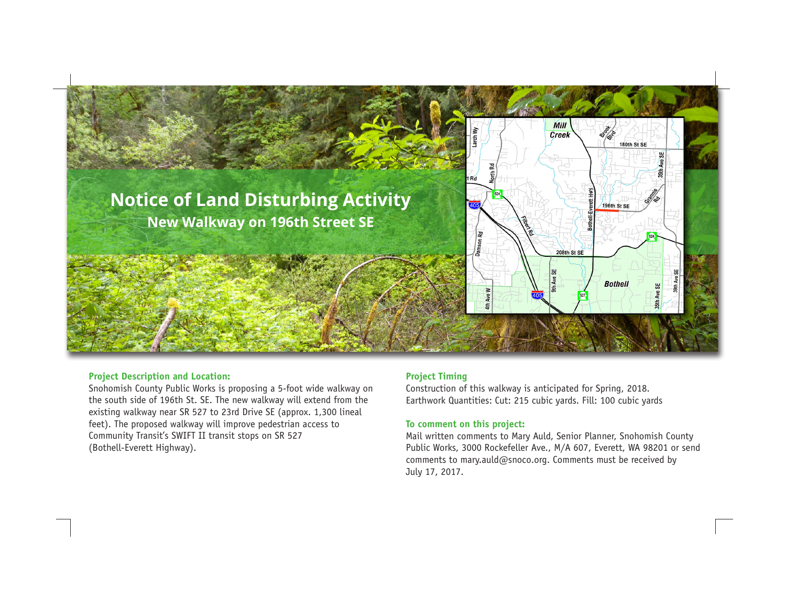

### **Project Description and Location:**

Snohomish County Public Works is proposing a 5-foot wide walkway on the south side of 196th St. SE. The new walkway will extend from the existing walkway near SR 527 to 23rd Drive SE (approx. 1,300 lineal feet). The proposed walkway will improve pedestrian access to Community Transit's SWIFT II transit stops on SR 527 (Bothell-Everett Highway).

# **Project Timing**

Construction of this walkway is anticipated for Spring, 2018. Earthwork Quantities: Cut: 215 cubic yards. Fill: 100 cubic yards

## **To comment on this project:**

Mail written comments to Mary Auld, Senior Planner, Snohomish County Public Works, 3000 Rockefeller Ave., M/A 607, Everett, WA 98201 or send comments to mary.auld@snoco.org. Comments must be received by July 17, 2017.